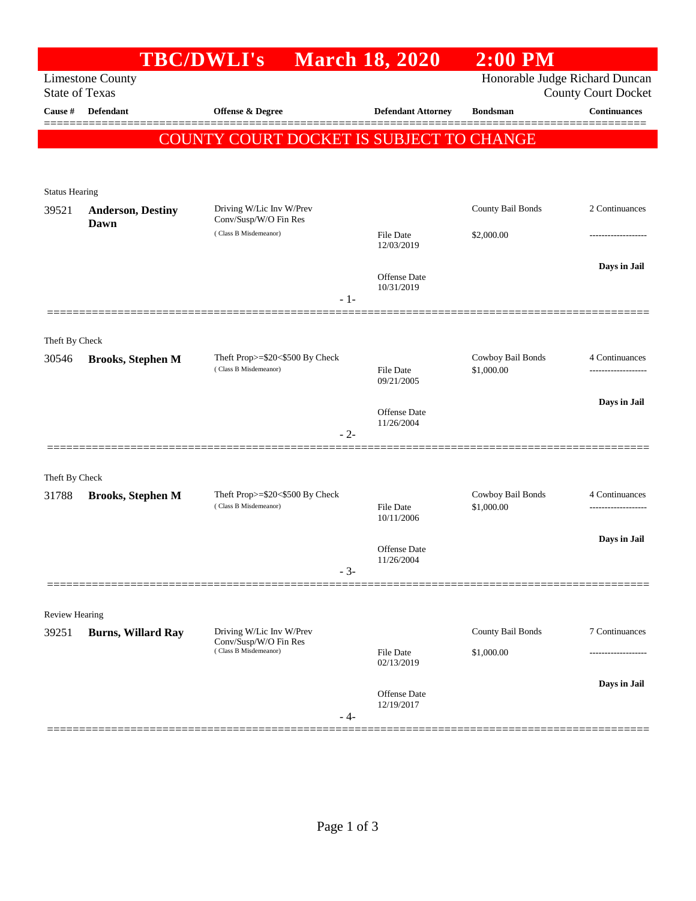| Honorable Judge Richard Duncan<br><b>Limestone County</b><br><b>State of Texas</b><br><b>County Court Docket</b><br><b>Defendant</b><br>Cause #<br><b>Offense &amp; Degree</b><br><b>Defendant Attorney</b><br><b>Bondsman</b><br><b>COUNTY COURT DOCKET IS SUBJECT TO CHANGE</b><br><b>Status Hearing</b><br>County Bail Bonds<br>Driving W/Lic Inv W/Prev<br>39521<br><b>Anderson, Destiny</b><br>Conv/Susp/W/O Fin Res<br>Dawn<br>(Class B Misdemeanor)<br><b>File Date</b><br>\$2,000.00<br>12/03/2019<br>Offense Date<br>10/31/2019<br>$-1-$<br>Theft By Check<br>Cowboy Bail Bonds<br>Theft Prop>=\$20<\$500 By Check<br>30546<br><b>Brooks, Stephen M</b><br>(Class B Misdemeanor)<br><b>File Date</b><br>\$1,000.00<br>09/21/2005<br>Offense Date<br>11/26/2004<br>$-2-$<br>Theft By Check<br>Theft Prop>=\$20<\$500 By Check<br>Cowboy Bail Bonds<br>31788<br><b>Brooks, Stephen M</b><br>(Class B Misdemeanor)<br><b>File Date</b><br>\$1,000.00<br>10/11/2006<br>Offense Date<br>11/26/2004<br>$-3-$<br>Review Hearing<br>Driving W/Lic Inv W/Prev<br>County Bail Bonds<br>39251<br><b>Burns, Willard Ray</b><br>Conv/Susp/W/O Fin Res<br>(Class B Misdemeanor)<br><b>File Date</b><br>\$1,000.00<br>02/13/2019 |  | TBC/DWLI's March 18, 2020 |              | $2:00$ PM |                     |
|----------------------------------------------------------------------------------------------------------------------------------------------------------------------------------------------------------------------------------------------------------------------------------------------------------------------------------------------------------------------------------------------------------------------------------------------------------------------------------------------------------------------------------------------------------------------------------------------------------------------------------------------------------------------------------------------------------------------------------------------------------------------------------------------------------------------------------------------------------------------------------------------------------------------------------------------------------------------------------------------------------------------------------------------------------------------------------------------------------------------------------------------------------------------------------------------------------------------------|--|---------------------------|--------------|-----------|---------------------|
|                                                                                                                                                                                                                                                                                                                                                                                                                                                                                                                                                                                                                                                                                                                                                                                                                                                                                                                                                                                                                                                                                                                                                                                                                            |  |                           |              |           |                     |
|                                                                                                                                                                                                                                                                                                                                                                                                                                                                                                                                                                                                                                                                                                                                                                                                                                                                                                                                                                                                                                                                                                                                                                                                                            |  |                           |              |           | <b>Continuances</b> |
|                                                                                                                                                                                                                                                                                                                                                                                                                                                                                                                                                                                                                                                                                                                                                                                                                                                                                                                                                                                                                                                                                                                                                                                                                            |  |                           |              |           | 2222222             |
|                                                                                                                                                                                                                                                                                                                                                                                                                                                                                                                                                                                                                                                                                                                                                                                                                                                                                                                                                                                                                                                                                                                                                                                                                            |  |                           |              |           |                     |
|                                                                                                                                                                                                                                                                                                                                                                                                                                                                                                                                                                                                                                                                                                                                                                                                                                                                                                                                                                                                                                                                                                                                                                                                                            |  |                           |              |           |                     |
|                                                                                                                                                                                                                                                                                                                                                                                                                                                                                                                                                                                                                                                                                                                                                                                                                                                                                                                                                                                                                                                                                                                                                                                                                            |  |                           |              |           |                     |
|                                                                                                                                                                                                                                                                                                                                                                                                                                                                                                                                                                                                                                                                                                                                                                                                                                                                                                                                                                                                                                                                                                                                                                                                                            |  |                           |              |           | 2 Continuances      |
|                                                                                                                                                                                                                                                                                                                                                                                                                                                                                                                                                                                                                                                                                                                                                                                                                                                                                                                                                                                                                                                                                                                                                                                                                            |  |                           |              |           |                     |
|                                                                                                                                                                                                                                                                                                                                                                                                                                                                                                                                                                                                                                                                                                                                                                                                                                                                                                                                                                                                                                                                                                                                                                                                                            |  |                           |              |           |                     |
|                                                                                                                                                                                                                                                                                                                                                                                                                                                                                                                                                                                                                                                                                                                                                                                                                                                                                                                                                                                                                                                                                                                                                                                                                            |  |                           |              |           | Days in Jail        |
|                                                                                                                                                                                                                                                                                                                                                                                                                                                                                                                                                                                                                                                                                                                                                                                                                                                                                                                                                                                                                                                                                                                                                                                                                            |  |                           |              |           |                     |
|                                                                                                                                                                                                                                                                                                                                                                                                                                                                                                                                                                                                                                                                                                                                                                                                                                                                                                                                                                                                                                                                                                                                                                                                                            |  |                           |              |           |                     |
|                                                                                                                                                                                                                                                                                                                                                                                                                                                                                                                                                                                                                                                                                                                                                                                                                                                                                                                                                                                                                                                                                                                                                                                                                            |  |                           |              |           |                     |
|                                                                                                                                                                                                                                                                                                                                                                                                                                                                                                                                                                                                                                                                                                                                                                                                                                                                                                                                                                                                                                                                                                                                                                                                                            |  |                           |              |           | 4 Continuances      |
|                                                                                                                                                                                                                                                                                                                                                                                                                                                                                                                                                                                                                                                                                                                                                                                                                                                                                                                                                                                                                                                                                                                                                                                                                            |  |                           |              |           | ------------------  |
|                                                                                                                                                                                                                                                                                                                                                                                                                                                                                                                                                                                                                                                                                                                                                                                                                                                                                                                                                                                                                                                                                                                                                                                                                            |  |                           |              |           | Days in Jail        |
|                                                                                                                                                                                                                                                                                                                                                                                                                                                                                                                                                                                                                                                                                                                                                                                                                                                                                                                                                                                                                                                                                                                                                                                                                            |  |                           |              |           |                     |
|                                                                                                                                                                                                                                                                                                                                                                                                                                                                                                                                                                                                                                                                                                                                                                                                                                                                                                                                                                                                                                                                                                                                                                                                                            |  |                           |              |           |                     |
|                                                                                                                                                                                                                                                                                                                                                                                                                                                                                                                                                                                                                                                                                                                                                                                                                                                                                                                                                                                                                                                                                                                                                                                                                            |  |                           |              |           |                     |
|                                                                                                                                                                                                                                                                                                                                                                                                                                                                                                                                                                                                                                                                                                                                                                                                                                                                                                                                                                                                                                                                                                                                                                                                                            |  |                           |              |           | 4 Continuances      |
|                                                                                                                                                                                                                                                                                                                                                                                                                                                                                                                                                                                                                                                                                                                                                                                                                                                                                                                                                                                                                                                                                                                                                                                                                            |  |                           |              |           |                     |
|                                                                                                                                                                                                                                                                                                                                                                                                                                                                                                                                                                                                                                                                                                                                                                                                                                                                                                                                                                                                                                                                                                                                                                                                                            |  |                           |              |           | Days in Jail        |
|                                                                                                                                                                                                                                                                                                                                                                                                                                                                                                                                                                                                                                                                                                                                                                                                                                                                                                                                                                                                                                                                                                                                                                                                                            |  |                           |              |           |                     |
|                                                                                                                                                                                                                                                                                                                                                                                                                                                                                                                                                                                                                                                                                                                                                                                                                                                                                                                                                                                                                                                                                                                                                                                                                            |  |                           |              |           |                     |
|                                                                                                                                                                                                                                                                                                                                                                                                                                                                                                                                                                                                                                                                                                                                                                                                                                                                                                                                                                                                                                                                                                                                                                                                                            |  |                           |              |           |                     |
|                                                                                                                                                                                                                                                                                                                                                                                                                                                                                                                                                                                                                                                                                                                                                                                                                                                                                                                                                                                                                                                                                                                                                                                                                            |  |                           |              |           |                     |
|                                                                                                                                                                                                                                                                                                                                                                                                                                                                                                                                                                                                                                                                                                                                                                                                                                                                                                                                                                                                                                                                                                                                                                                                                            |  |                           |              |           | 7 Continuances      |
|                                                                                                                                                                                                                                                                                                                                                                                                                                                                                                                                                                                                                                                                                                                                                                                                                                                                                                                                                                                                                                                                                                                                                                                                                            |  |                           |              |           |                     |
|                                                                                                                                                                                                                                                                                                                                                                                                                                                                                                                                                                                                                                                                                                                                                                                                                                                                                                                                                                                                                                                                                                                                                                                                                            |  |                           |              |           | Days in Jail        |
| 12/19/2017                                                                                                                                                                                                                                                                                                                                                                                                                                                                                                                                                                                                                                                                                                                                                                                                                                                                                                                                                                                                                                                                                                                                                                                                                 |  |                           | Offense Date |           |                     |
| - 4-                                                                                                                                                                                                                                                                                                                                                                                                                                                                                                                                                                                                                                                                                                                                                                                                                                                                                                                                                                                                                                                                                                                                                                                                                       |  |                           |              |           |                     |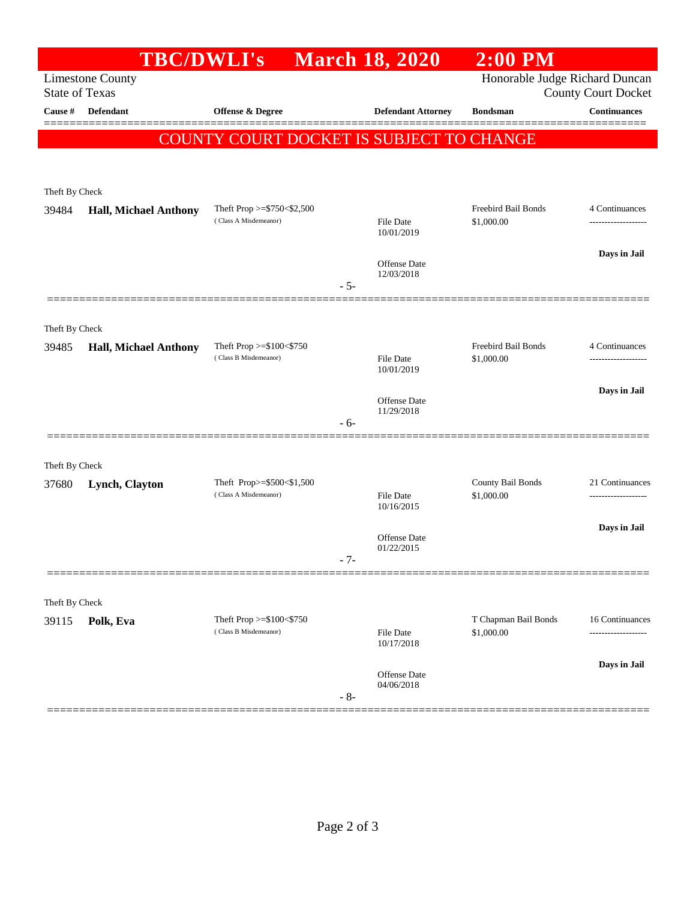|                                                  | <b>TBC/DWLI's</b>            |                                                    |       | <b>March 18, 2020</b>             | $2:00$ PM                          |                                        |
|--------------------------------------------------|------------------------------|----------------------------------------------------|-------|-----------------------------------|------------------------------------|----------------------------------------|
| <b>Limestone County</b><br><b>State of Texas</b> |                              |                                                    |       |                                   | Honorable Judge Richard Duncan     | <b>County Court Docket</b>             |
| Cause #                                          | Defendant                    | Offense & Degree                                   |       | <b>Defendant Attorney</b>         | <b>Bondsman</b>                    | <b>Continuances</b>                    |
|                                                  |                              | COUNTY COURT DOCKET IS SUBJECT TO CHANGE           |       |                                   |                                    |                                        |
|                                                  |                              |                                                    |       |                                   |                                    |                                        |
|                                                  |                              |                                                    |       |                                   |                                    |                                        |
| Theft By Check<br>39484                          | <b>Hall, Michael Anthony</b> | Theft Prop $>=$ \$750 < \$2,500                    |       |                                   | Freebird Bail Bonds                | 4 Continuances                         |
|                                                  |                              | (Class A Misdemeanor)                              |       | <b>File Date</b><br>10/01/2019    | \$1,000.00                         | ------------------                     |
|                                                  |                              |                                                    |       |                                   |                                    | Days in Jail                           |
|                                                  |                              |                                                    |       | <b>Offense Date</b><br>12/03/2018 |                                    |                                        |
|                                                  |                              |                                                    | $-5-$ |                                   |                                    |                                        |
|                                                  |                              |                                                    |       |                                   |                                    |                                        |
| Theft By Check                                   |                              |                                                    |       |                                   |                                    |                                        |
| 39485                                            | <b>Hall, Michael Anthony</b> | Theft Prop >=\$100<\$750<br>(Class B Misdemeanor)  |       | File Date                         | Freebird Bail Bonds<br>\$1,000.00  | 4 Continuances<br>-------------------  |
|                                                  |                              |                                                    |       | 10/01/2019                        |                                    |                                        |
|                                                  |                              |                                                    |       | <b>Offense Date</b><br>11/29/2018 |                                    | Days in Jail                           |
|                                                  |                              |                                                    | $-6-$ |                                   |                                    |                                        |
|                                                  |                              |                                                    |       |                                   |                                    |                                        |
| Theft By Check                                   |                              |                                                    |       |                                   |                                    |                                        |
| 37680                                            | Lynch, Clayton               | Theft Prop>=\$500<\$1,500<br>(Class A Misdemeanor) |       | <b>File Date</b>                  | County Bail Bonds<br>\$1,000.00    | 21 Continuances<br>------------------- |
|                                                  |                              |                                                    |       | 10/16/2015                        |                                    |                                        |
|                                                  |                              |                                                    |       | Offense Date                      |                                    | Days in Jail                           |
|                                                  |                              |                                                    | $-7-$ | 01/22/2015                        |                                    |                                        |
|                                                  |                              |                                                    |       |                                   |                                    |                                        |
| Theft By Check                                   |                              |                                                    |       |                                   |                                    |                                        |
| 39115                                            | Polk, Eva                    | Theft Prop >=\$100<\$750<br>(Class B Misdemeanor)  |       | <b>File Date</b>                  | T Chapman Bail Bonds<br>\$1,000.00 | 16 Continuances                        |
|                                                  |                              |                                                    |       | 10/17/2018                        |                                    |                                        |
|                                                  |                              |                                                    |       | Offense Date                      |                                    | Days in Jail                           |
|                                                  |                              |                                                    | $-8-$ | 04/06/2018                        |                                    |                                        |
|                                                  |                              |                                                    |       |                                   |                                    |                                        |